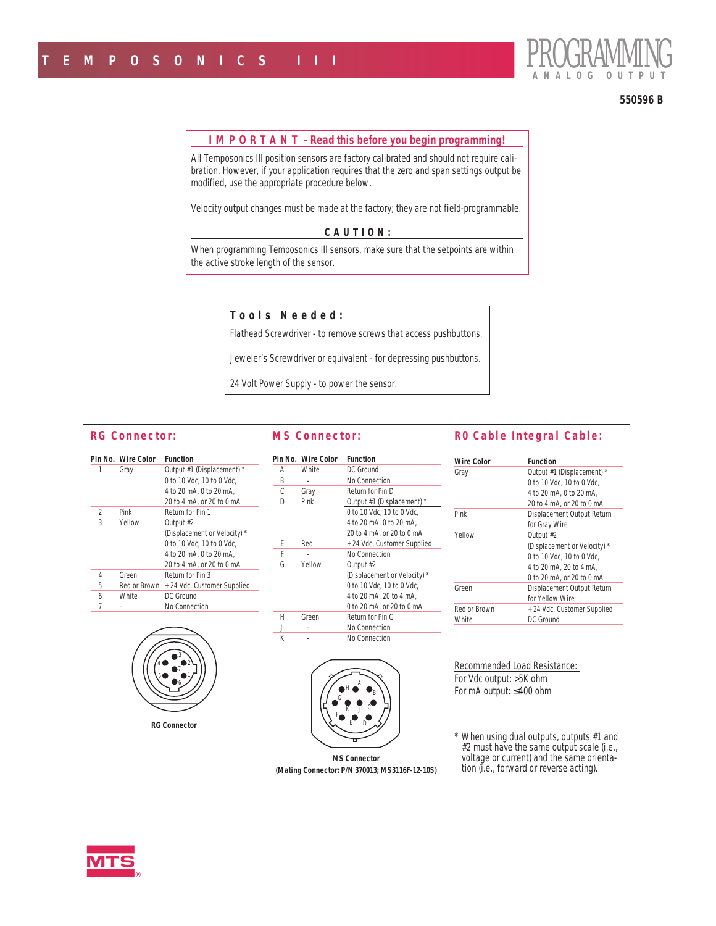

#### **550596 B**

#### **I M P O R T A N T - Read this before you begin programming!**

All Temposonics III position sensors are factory calibrated and should not require calibration. However, if your application requires that the zero and span settings output be modified, use the appropriate procedure below.

Velocity output changes must be made at the factory; they are not field-programmable.

## **CAUTION:**

*When programming Temposonics III sensors, make sure that the setpoints are within the active stroke length of the sensor.*

# **Tools Needed:**

Flathead Screwdriver - to remove screws that access pushbuttons.

Jeweler's Screwdriver or equivalent - for depressing pushbuttons.

24 Volt Power Supply - to power the sensor.

## **RG Connector:**

### **MS Connector:**

|   | Pin No. Wire Color<br>Gray | <b>Function</b><br>Output #1 (Displacement) * |
|---|----------------------------|-----------------------------------------------|
|   |                            | 0 to 10 Vdc, 10 to 0 Vdc,                     |
|   |                            | 4 to 20 mA, 0 to 20 mA,                       |
|   |                            | 20 to 4 mA, or 20 to 0 mA                     |
| 2 | Pink                       | Return for Pin 1                              |
| 3 | Yellow                     | Output #2                                     |
|   |                            | (Displacement or Velocity) *                  |
|   |                            | 0 to 10 Vdc. 10 to 0 Vdc.                     |
|   |                            | 4 to 20 mA, 0 to 20 mA,                       |
|   |                            | 20 to 4 mA, or 20 to 0 mA                     |
| 4 | Green                      | Return for Pin 3                              |
| 5 | Red or Brown               | + 24 Vdc, Customer Supplied                   |
| 6 | White                      | DC Ground                                     |
| 7 |                            | No Connection                                 |
|   |                            |                                               |
|   |                            |                                               |
|   |                            | <b>RG Connector</b>                           |

|   | <b>Pin No.</b> Wire Color | <b>Function</b>              |
|---|---------------------------|------------------------------|
| А | White                     | DC Ground                    |
| R |                           | No Connection                |
|   | Gray                      | Return for Pin D             |
| n | Pink                      | Output #1 (Displacement) *   |
|   |                           | 0 to 10 Vdc. 10 to 0 Vdc.    |
|   |                           | 4 to 20 mA, 0 to 20 mA.      |
|   |                           | 20 to 4 mA, or 20 to 0 mA    |
| F | Red                       | +24 Vdc, Customer Supplied   |
| F |                           | No Connection                |
| G | Yellow                    | Output #2                    |
|   |                           | (Displacement or Velocity) * |
|   |                           | 0 to 10 Vdc. 10 to 0 Vdc.    |
|   |                           | 4 to 20 mA, 20 to 4 mA.      |
|   |                           | 0 to 20 mA, or 20 to 0 mA    |
| Н | Green                     | Return for Pin G             |
| J |                           | No Connection                |
| K |                           | No Connection                |
|   |                           |                              |



*MS Connector (Mating Connector: P/N 370013; MS3116F-12-10S)*

## **R0 Cable Integral Cable:**

| Wire Color   | Function                     |
|--------------|------------------------------|
| Gray         | Output #1 (Displacement) *   |
|              | 0 to 10 Vdc. 10 to 0 Vdc.    |
|              | 4 to 20 mA, 0 to 20 mA.      |
|              | 20 to 4 mA, or 20 to 0 mA    |
| Pink         | Displacement Output Return   |
|              | for Gray Wire                |
| Yellow       | Output #2                    |
|              | (Displacement or Velocity) * |
|              | 0 to 10 Vdc. 10 to 0 Vdc.    |
|              | 4 to 20 mA, 20 to 4 mA.      |
|              | 0 to 20 mA, or 20 to 0 mA    |
| Green        | Displacement Output Return   |
|              | for Yellow Wire              |
| Red or Brown | + 24 Vdc, Customer Supplied  |
| White        | DC Ground                    |
|              |                              |

*Recommended Load Resistance:* For Vdc output: >5K ohm For mA output: ≤400 ohm

*\* When using dual outputs, outputs #1 and #2 must have the same output scale (i.e., voltage or current) and the same orientation (i.e., forward or reverse acting).*

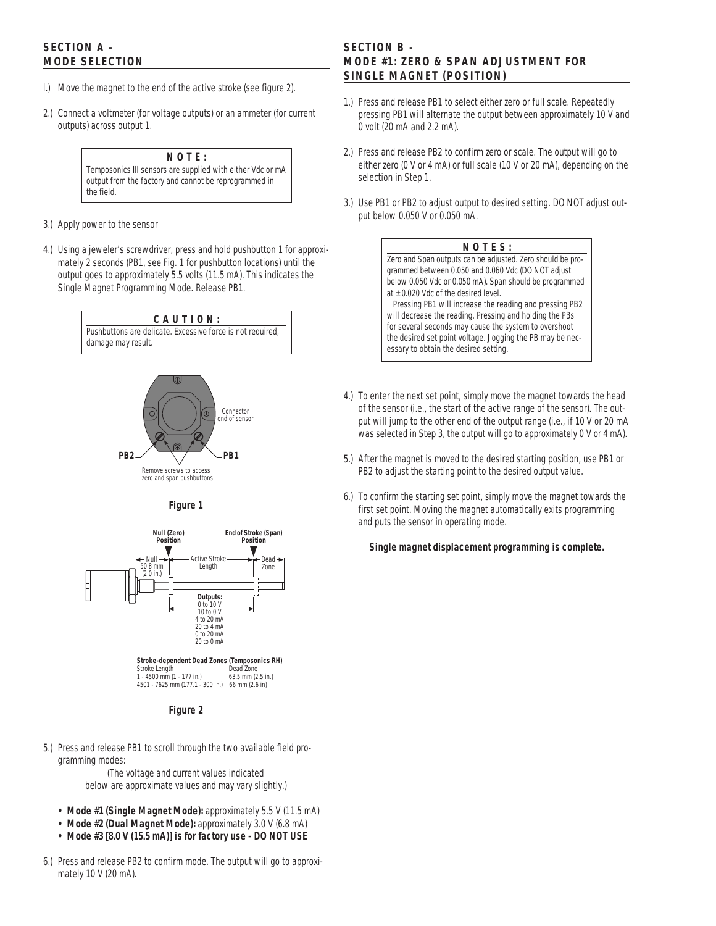# **SECTION A - MODE SELECTION**

- l.) Move the magnet to the end of the active stroke (see figure 2).
- 2.) Connect a voltmeter (for voltage outputs) or an ammeter (for current outputs) across output 1.

# **NOTE:**

*Temposonics III sensors are supplied with either Vdc or mA output from the factory and cannot be reprogrammed in the field.*

- 3.) Apply power to the sensor
- 4.) Using a jeweler's screwdriver, press and hold pushbutton 1 for approximately 2 seconds (PB1, see Fig. 1 for pushbutton locations) until the output goes to approximately 5.5 volts (11.5 mA). This indicates the *Single Magnet Programming Mode*. Release PB1.





*zero and span pushbuttons.*

*Figure 1*



*Figure 2*

5.) Press and release PB1 to scroll through the two available field programming modes:

*(The voltage and current values indicated below are approximate values and may vary slightly.)*

- *• Mode #1 (Single Magnet Mode):* approximately 5.5 V (11.5 mA)
- *• Mode #2 (Dual Magnet Mode):* approximately 3.0 V (6.8 mA)
- *• Mode #3 [8.0 V (15.5 mA)] is for factory use DO NOT USE*
- 6.) Press and release PB2 to confirm mode. The output will go to approximately 10 V (20 mA).

# **SECTION B - MODE #1: ZERO & SPAN ADJUSTMENT FOR SINGLE MAGNET (POSITION)**

- 1.) Press and release PB1 to select either zero or full scale. Repeatedly pressing PB1 will alternate the output between approximately 10 V and 0 volt (20 mA and 2.2 mA).
- 2.) Press and release PB2 to confirm zero or scale. The output will go to either zero (0 V or 4 mA) or full scale (10 V or 20 mA), depending on the selection in Step 1.
- 3.) Use PB1 or PB2 to adjust output to desired setting. DO NOT adjust output below 0.050 V or 0.050 mA.

## **NOTES:**

*Zero and Span outputs can be adjusted. Zero should be programmed between 0.050 and 0.060 Vdc (DO NOT adjust below 0.050 Vdc or 0.050 mA). Span should be programmed at ± 0.020 Vdc of the desired level.*

*Pressing PB1 will increase the reading and pressing PB2 will decrease the reading. Pressing and holding the PBs for several seconds may cause the system to overshoot the desired set point voltage. Jogging the PB may be necessary to obtain the desired setting.*

- 4.) To enter the next set point, simply move the magnet towards the head of the sensor (i.e., the start of the active range of the sensor). The output will jump to the other end of the output range (i.e., if 10 V or 20 mA was selected in Step 3, the output will go to approximately 0 V or 4 mA).
- 5.) After the magnet is moved to the desired starting position, use PB1 or PB2 to adjust the starting point to the desired output value.
- 6.) To confirm the starting set point, simply move the magnet towards the first set point. Moving the magnet automatically exits programming and puts the sensor in operating mode.

*Single magnet displacement programming is complete.*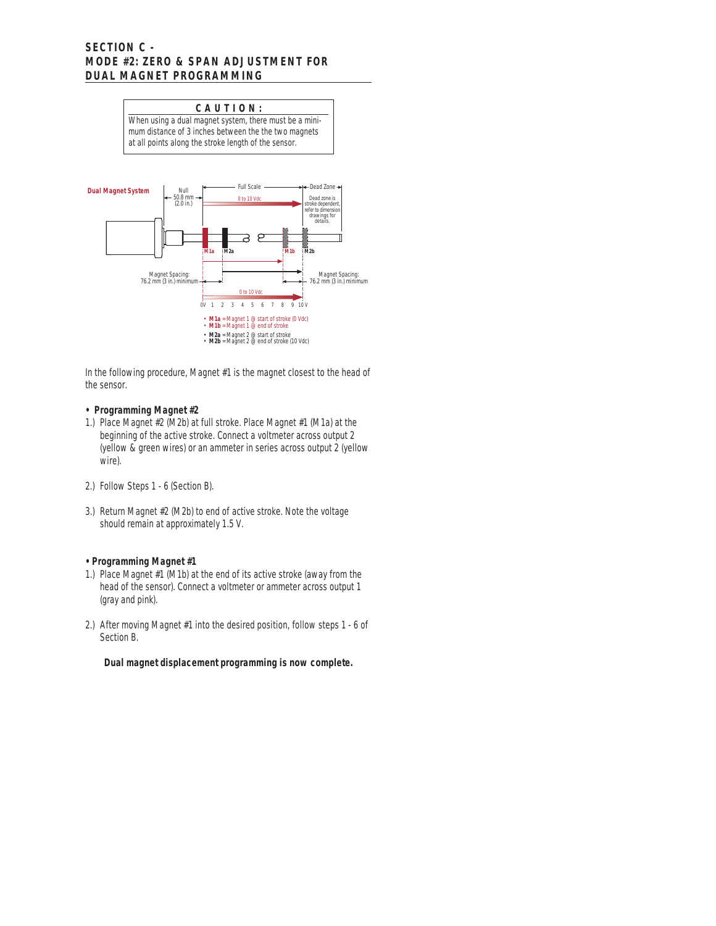## **SECTION C - MODE #2: ZERO & SPAN ADJUSTMENT FOR DUAL MAGNET PROGRAMMING**



In the following procedure, Magnet #1 is the magnet closest to the head of the sensor.

### **• Programming Magnet #2**

- 1.) Place Magnet #2 (M2b) at full stroke. Place Magnet #1 (M1a) at the beginning of the active stroke. Connect a voltmeter across output 2 (yellow & green wires) or an ammeter in series across output 2 (yellow wire).
- 2.) Follow Steps 1 6 (Section B).
- 3.) Return Magnet #2 (M2b) to end of active stroke. Note the voltage should remain at approximately 1.5 V.

## **• Programming Magnet #1**

- 1.) Place Magnet #1 (M1b) at the end of its active stroke (away from the head of the sensor). Connect a voltmeter or ammeter across output 1 (gray and pink).
- 2.) After moving Magnet #1 into the desired position, follow steps 1 6 of Section B.

*Dual magnet displacement programming is now complete.*